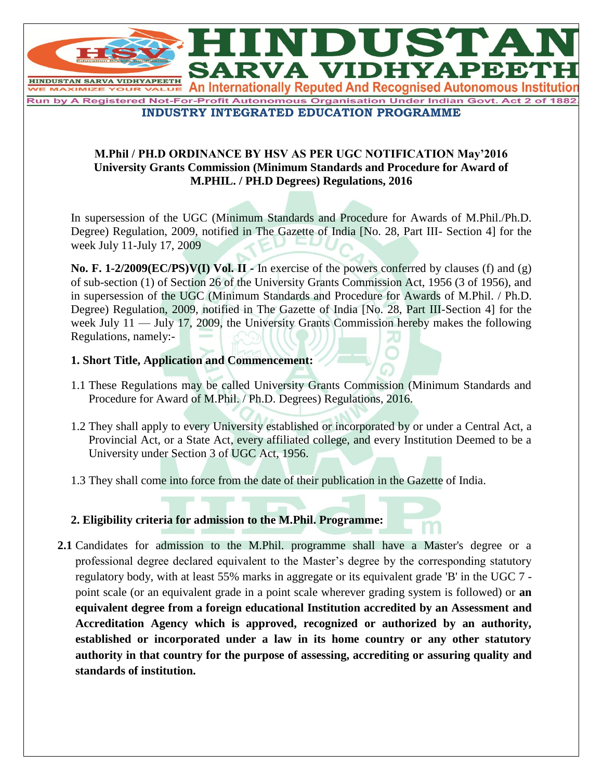An Internationally Reputed And Recognised Autonomous Institution Run by A Registered Not-For-Profit Autonomous Organisation Under Indian Govt. Act 2 of 1882

#### **INDUSTRY INTEGRATED EDUCATION PROGRAMME**

INDUSTA

**RVA VIDHYAPEE** 

#### **M.Phil / PH.D ORDINANCE BY HSV AS PER UGC NOTIFICATION May'2016 University Grants Commission (Minimum Standards and Procedure for Award of M.PHIL. / PH.D Degrees) Regulations, 2016**

In supersession of the UGC (Minimum Standards and Procedure for Awards of M.Phil./Ph.D. Degree) Regulation, 2009, notified in The Gazette of India [No. 28, Part III- Section 4] for the week July 11-July 17, 2009

**No. F. 1-2/2009(EC/PS)V(I) Vol. II -** In exercise of the powers conferred by clauses (f) and (g) of sub-section (1) of Section 26 of the University Grants Commission Act, 1956 (3 of 1956), and in supersession of the UGC (Minimum Standards and Procedure for Awards of M.Phil. / Ph.D. Degree) Regulation, 2009, notified in The Gazette of India [No. 28, Part III-Section 4] for the week July 11 — July 17, 2009, the University Grants Commission hereby makes the following Regulations, namely:-

#### **1. Short Title, Application and Commencement:**

**HINDUSTAN SARVA VIDHYAPEETH** 

**WE MAXIMIZE YOUR VALUE** 

- 1.1 These Regulations may be called University Grants Commission (Minimum Standards and Procedure for Award of M.Phil. / Ph.D. Degrees) Regulations, 2016.
- 1.2 They shall apply to every University established or incorporated by or under a Central Act, a Provincial Act, or a State Act, every affiliated college, and every Institution Deemed to be a University under Section 3 of UGC Act, 1956.
- 1.3 They shall come into force from the date of their publication in the Gazette of India.

**2. Eligibility criteria for admission to the M.Phil. Programme:** 

**2.1** Candidates for admission to the M.Phil. programme shall have a Master's degree or a professional degree declared equivalent to the Master's degree by the corresponding statutory regulatory body, with at least 55% marks in aggregate or its equivalent grade 'B' in the UGC 7 point scale (or an equivalent grade in a point scale wherever grading system is followed) or **an equivalent degree from a foreign educational Institution accredited by an Assessment and Accreditation Agency which is approved, recognized or authorized by an authority, established or incorporated under a law in its home country or any other statutory authority in that country for the purpose of assessing, accrediting or assuring quality and standards of institution.**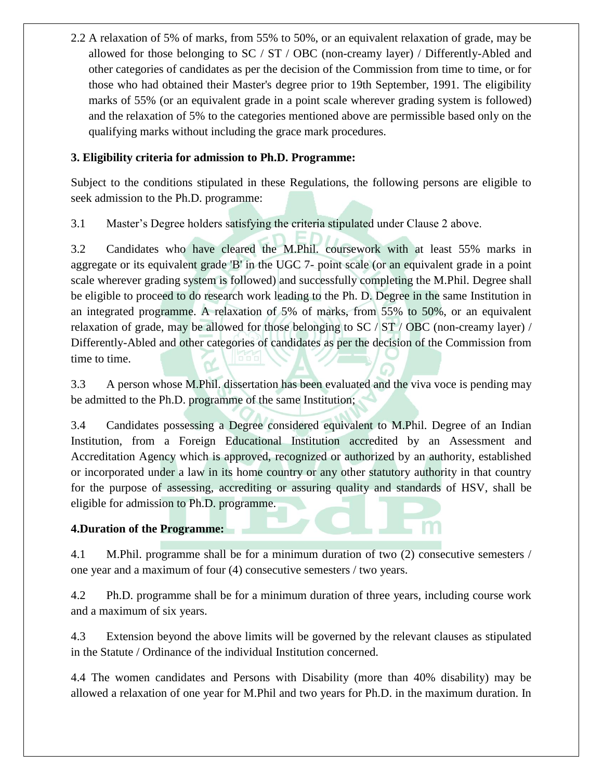2.2 A relaxation of 5% of marks, from 55% to 50%, or an equivalent relaxation of grade, may be allowed for those belonging to SC / ST / OBC (non-creamy layer) / Differently-Abled and other categories of candidates as per the decision of the Commission from time to time, or for those who had obtained their Master's degree prior to 19th September, 1991. The eligibility marks of 55% (or an equivalent grade in a point scale wherever grading system is followed) and the relaxation of 5% to the categories mentioned above are permissible based only on the qualifying marks without including the grace mark procedures.

### **3. Eligibility criteria for admission to Ph.D. Programme:**

Subject to the conditions stipulated in these Regulations, the following persons are eligible to seek admission to the Ph.D. programme:

3.1 Master's Degree holders satisfying the criteria stipulated under Clause 2 above.

3.2 Candidates who have cleared the M.Phil. coursework with at least 55% marks in aggregate or its equivalent grade 'B' in the UGC 7- point scale (or an equivalent grade in a point scale wherever grading system is followed) and successfully completing the M.Phil. Degree shall be eligible to proceed to do research work leading to the Ph. D. Degree in the same Institution in an integrated programme. A relaxation of 5% of marks, from 55% to 50%, or an equivalent relaxation of grade, may be allowed for those belonging to SC / ST / OBC (non-creamy layer) / Differently-Abled and other categories of candidates as per the decision of the Commission from time to time.

3.3 A person whose M.Phil. dissertation has been evaluated and the viva voce is pending may be admitted to the Ph.D. programme of the same Institution;

3.4 Candidates possessing a Degree considered equivalent to M.Phil. Degree of an Indian Institution, from a Foreign Educational Institution accredited by an Assessment and Accreditation Agency which is approved, recognized or authorized by an authority, established or incorporated under a law in its home country or any other statutory authority in that country for the purpose of assessing, accrediting or assuring quality and standards of HSV, shall be eligible for admission to Ph.D. programme.

### **4.Duration of the Programme:**

4.1 M.Phil. programme shall be for a minimum duration of two (2) consecutive semesters / one year and a maximum of four (4) consecutive semesters / two years.

4.2 Ph.D. programme shall be for a minimum duration of three years, including course work and a maximum of six years.

4.3 Extension beyond the above limits will be governed by the relevant clauses as stipulated in the Statute / Ordinance of the individual Institution concerned.

4.4 The women candidates and Persons with Disability (more than 40% disability) may be allowed a relaxation of one year for M.Phil and two years for Ph.D. in the maximum duration. In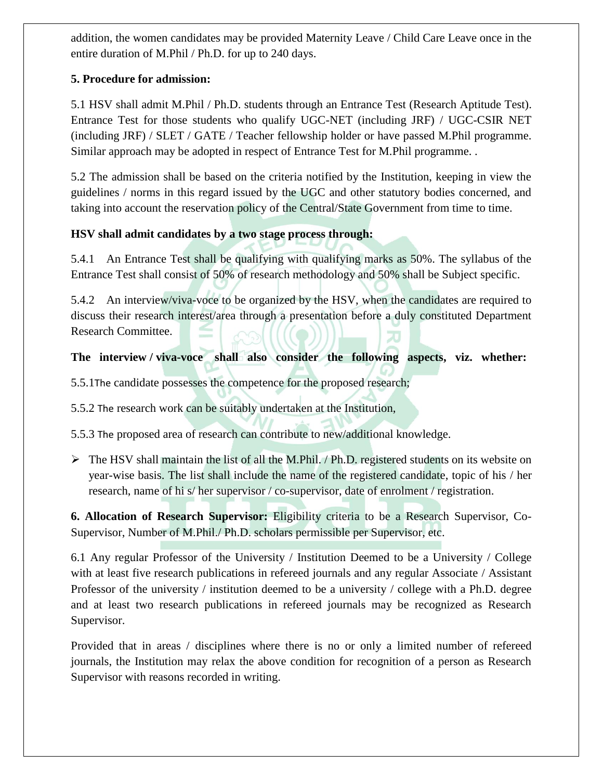addition, the women candidates may be provided Maternity Leave / Child Care Leave once in the entire duration of M.Phil / Ph.D. for up to 240 days.

#### **5. Procedure for admission:**

5.1 HSV shall admit M.Phil / Ph.D. students through an Entrance Test (Research Aptitude Test). Entrance Test for those students who qualify UGC-NET (including JRF) / UGC-CSIR NET (including JRF) / SLET / GATE / Teacher fellowship holder or have passed M.Phil programme. Similar approach may be adopted in respect of Entrance Test for M.Phil programme. .

5.2 The admission shall be based on the criteria notified by the Institution, keeping in view the guidelines / norms in this regard issued by the UGC and other statutory bodies concerned, and taking into account the reservation policy of the Central/State Government from time to time.

### **HSV shall admit candidates by a two stage process through:**

5.4.1 An Entrance Test shall be qualifying with qualifying marks as 50%. The syllabus of the Entrance Test shall consist of 50% of research methodology and 50% shall be Subject specific.

5.4.2 An interview/viva-voce to be organized by the HSV, when the candidates are required to discuss their research interest/area through a presentation before a duly constituted Department Research Committee.

### **The interview / viva-voce shall also consider the following aspects, viz. whether:**

5.5.1The candidate possesses the competence for the proposed research;

5.5.2 The research work can be suitably undertaken at the Institution,

5.5.3 The proposed area of research can contribute to new/additional knowledge.

 $\triangleright$  The HSV shall maintain the list of all the M.Phil. / Ph.D. registered students on its website on year-wise basis. The list shall include the name of the registered candidate, topic of his / her research, name of hi s/ her supervisor / co-supervisor, date of enrolment / registration.

**6. Allocation of Research Supervisor:** Eligibility criteria to be a Research Supervisor, Co-Supervisor, Number of M.Phil./ Ph.D. scholars permissible per Supervisor, etc.

6.1 Any regular Professor of the University / Institution Deemed to be a University / College with at least five research publications in refereed journals and any regular Associate / Assistant Professor of the university / institution deemed to be a university / college with a Ph.D. degree and at least two research publications in refereed journals may be recognized as Research Supervisor.

Provided that in areas / disciplines where there is no or only a limited number of refereed journals, the Institution may relax the above condition for recognition of a person as Research Supervisor with reasons recorded in writing.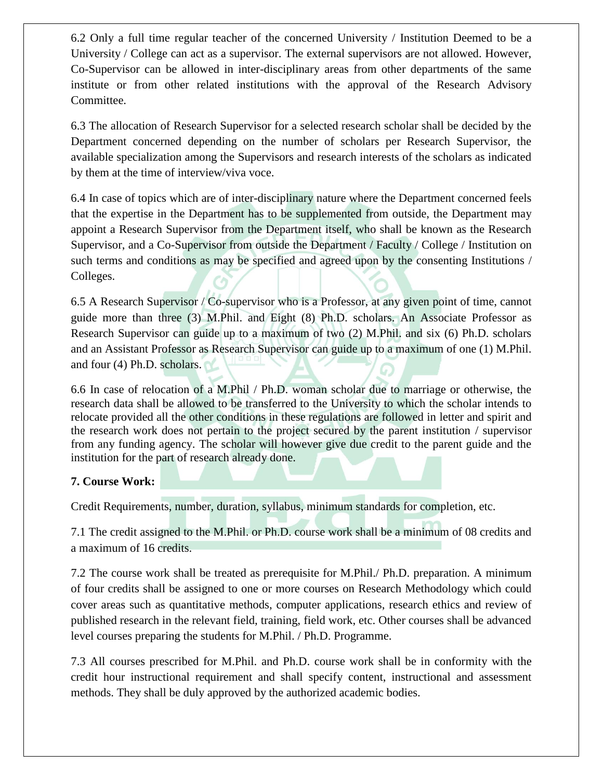6.2 Only a full time regular teacher of the concerned University / Institution Deemed to be a University / College can act as a supervisor. The external supervisors are not allowed. However, Co-Supervisor can be allowed in inter-disciplinary areas from other departments of the same institute or from other related institutions with the approval of the Research Advisory Committee.

6.3 The allocation of Research Supervisor for a selected research scholar shall be decided by the Department concerned depending on the number of scholars per Research Supervisor, the available specialization among the Supervisors and research interests of the scholars as indicated by them at the time of interview/viva voce.

6.4 In case of topics which are of inter-disciplinary nature where the Department concerned feels that the expertise in the Department has to be supplemented from outside, the Department may appoint a Research Supervisor from the Department itself, who shall be known as the Research Supervisor, and a Co-Supervisor from outside the Department / Faculty / College / Institution on such terms and conditions as may be specified and agreed upon by the consenting Institutions / Colleges.

6.5 A Research Supervisor / Co-supervisor who is a Professor, at any given point of time, cannot guide more than three (3) M.Phil. and Eight (8) Ph.D. scholars. An Associate Professor as Research Supervisor can guide up to a maximum of two (2) M.Phil. and six (6) Ph.D. scholars and an Assistant Professor as Research Supervisor can guide up to a maximum of one (1) M.Phil. and four (4) Ph.D. scholars.

6.6 In case of relocation of a M.Phil / Ph.D. woman scholar due to marriage or otherwise, the research data shall be allowed to be transferred to the University to which the scholar intends to relocate provided all the other conditions in these regulations are followed in letter and spirit and the research work does not pertain to the project secured by the parent institution / supervisor from any funding agency. The scholar will however give due credit to the parent guide and the institution for the part of research already done.

#### **7. Course Work:**

Credit Requirements, number, duration, syllabus, minimum standards for completion, etc.

7.1 The credit assigned to the M.Phil. or Ph.D. course work shall be a minimum of 08 credits and a maximum of 16 credits.

7.2 The course work shall be treated as prerequisite for M.Phil./ Ph.D. preparation. A minimum of four credits shall be assigned to one or more courses on Research Methodology which could cover areas such as quantitative methods, computer applications, research ethics and review of published research in the relevant field, training, field work, etc. Other courses shall be advanced level courses preparing the students for M.Phil. / Ph.D. Programme.

7.3 All courses prescribed for M.Phil. and Ph.D. course work shall be in conformity with the credit hour instructional requirement and shall specify content, instructional and assessment methods. They shall be duly approved by the authorized academic bodies.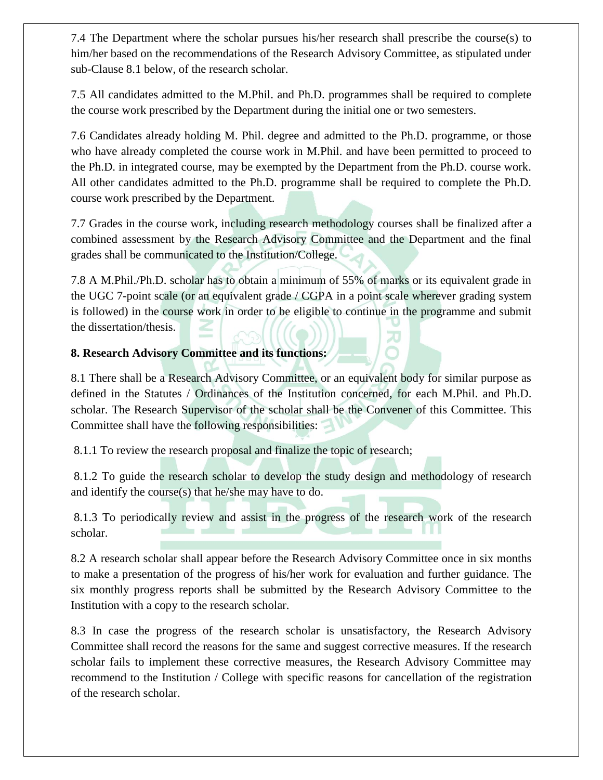7.4 The Department where the scholar pursues his/her research shall prescribe the course(s) to him/her based on the recommendations of the Research Advisory Committee, as stipulated under sub-Clause 8.1 below, of the research scholar.

7.5 All candidates admitted to the M.Phil. and Ph.D. programmes shall be required to complete the course work prescribed by the Department during the initial one or two semesters.

7.6 Candidates already holding M. Phil. degree and admitted to the Ph.D. programme, or those who have already completed the course work in M.Phil. and have been permitted to proceed to the Ph.D. in integrated course, may be exempted by the Department from the Ph.D. course work. All other candidates admitted to the Ph.D. programme shall be required to complete the Ph.D. course work prescribed by the Department.

7.7 Grades in the course work, including research methodology courses shall be finalized after a combined assessment by the Research Advisory Committee and the Department and the final grades shall be communicated to the Institution/College.

7.8 A M.Phil./Ph.D. scholar has to obtain a minimum of 55% of marks or its equivalent grade in the UGC 7-point scale (or an equivalent grade / CGPA in a point scale wherever grading system is followed) in the course work in order to be eligible to continue in the programme and submit the dissertation/thesis.

#### **8. Research Advisory Committee and its functions:**

8.1 There shall be a Research Advisory Committee, or an equivalent body for similar purpose as defined in the Statutes / Ordinances of the Institution concerned, for each M.Phil. and Ph.D. scholar. The Research Supervisor of the scholar shall be the Convener of this Committee. This Committee shall have the following responsibilities:

8.1.1 To review the research proposal and finalize the topic of research;

8.1.2 To guide the research scholar to develop the study design and methodology of research and identify the course(s) that he/she may have to do.

8.1.3 To periodically review and assist in the progress of the research work of the research scholar.

8.2 A research scholar shall appear before the Research Advisory Committee once in six months to make a presentation of the progress of his/her work for evaluation and further guidance. The six monthly progress reports shall be submitted by the Research Advisory Committee to the Institution with a copy to the research scholar.

8.3 In case the progress of the research scholar is unsatisfactory, the Research Advisory Committee shall record the reasons for the same and suggest corrective measures. If the research scholar fails to implement these corrective measures, the Research Advisory Committee may recommend to the Institution / College with specific reasons for cancellation of the registration of the research scholar.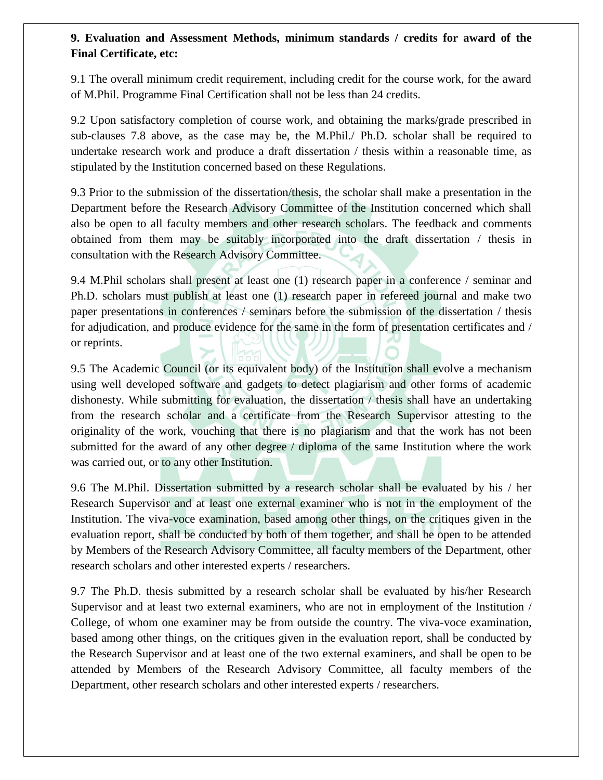### **9. Evaluation and Assessment Methods, minimum standards / credits for award of the Final Certificate, etc:**

9.1 The overall minimum credit requirement, including credit for the course work, for the award of M.Phil. Programme Final Certification shall not be less than 24 credits.

9.2 Upon satisfactory completion of course work, and obtaining the marks/grade prescribed in sub-clauses 7.8 above, as the case may be, the M.Phil./ Ph.D. scholar shall be required to undertake research work and produce a draft dissertation / thesis within a reasonable time, as stipulated by the Institution concerned based on these Regulations.

9.3 Prior to the submission of the dissertation/thesis, the scholar shall make a presentation in the Department before the Research Advisory Committee of the Institution concerned which shall also be open to all faculty members and other research scholars. The feedback and comments obtained from them may be suitably incorporated into the draft dissertation / thesis in consultation with the Research Advisory Committee.

9.4 M.Phil scholars shall present at least one (1) research paper in a conference / seminar and Ph.D. scholars must publish at least one (1) research paper in refereed journal and make two paper presentations in conferences / seminars before the submission of the dissertation / thesis for adjudication, and produce evidence for the same in the form of presentation certificates and / or reprints.

9.5 The Academic Council (or its equivalent body) of the Institution shall evolve a mechanism using well developed software and gadgets to detect plagiarism and other forms of academic dishonesty. While submitting for evaluation, the dissertation / thesis shall have an undertaking from the research scholar and a certificate from the Research Supervisor attesting to the originality of the work, vouching that there is no plagiarism and that the work has not been submitted for the award of any other degree / diploma of the same Institution where the work was carried out, or to any other Institution.

9.6 The M.Phil. Dissertation submitted by a research scholar shall be evaluated by his / her Research Supervisor and at least one external examiner who is not in the employment of the Institution. The viva-voce examination, based among other things, on the critiques given in the evaluation report, shall be conducted by both of them together, and shall be open to be attended by Members of the Research Advisory Committee, all faculty members of the Department, other research scholars and other interested experts / researchers.

9.7 The Ph.D. thesis submitted by a research scholar shall be evaluated by his/her Research Supervisor and at least two external examiners, who are not in employment of the Institution / College, of whom one examiner may be from outside the country. The viva-voce examination, based among other things, on the critiques given in the evaluation report, shall be conducted by the Research Supervisor and at least one of the two external examiners, and shall be open to be attended by Members of the Research Advisory Committee, all faculty members of the Department, other research scholars and other interested experts / researchers.